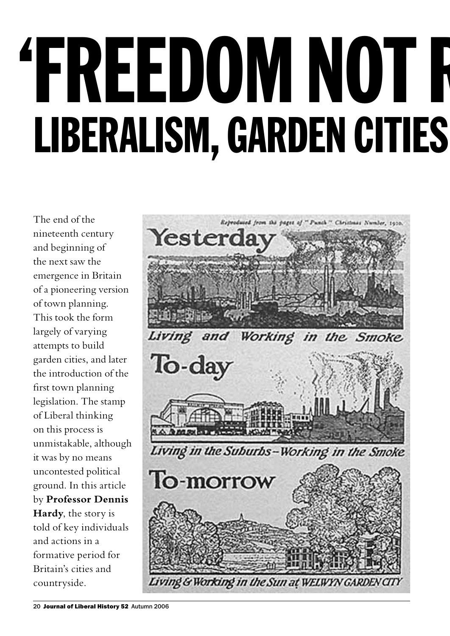# 'FREEDOM NOT R LIBERALISM, GARDEN CITIES

The end of the nineteenth century and beginning of the next saw the emergence in Britain of a pioneering version of town planning. This took the form largely of varying attempts to build garden cities, and later the introduction of the first town planning legislation. The stamp of Liberal thinking on this process is unmistakable, although it was by no means uncontested political ground. In this article by **Professor Dennis Hardy**, the story is told of key individuals and actions in a formative period for Britain's cities and countryside.

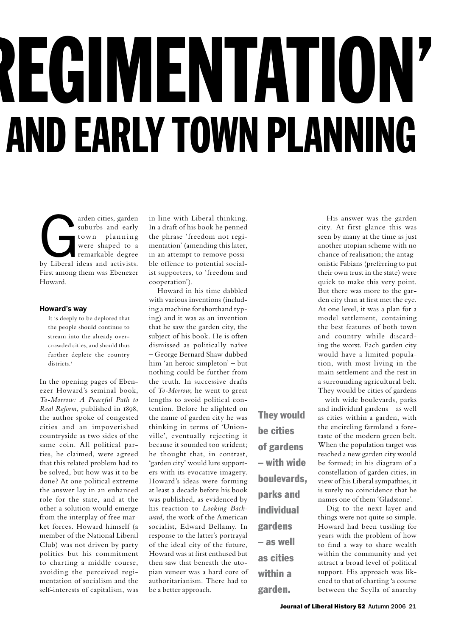# REGIMENTATION' AND EARLY TOWN PLANNING

arden cities, garden<br>
suburbs and early<br>
town planning<br>
were shaped to a<br>
remarkable degree<br>
by Liberal ideas and activists. suburbs and early town planning were shaped to a remarkable degree First among them was Ebenezer Howard.

#### Howard's way

It is deeply to be deplored that the people should continue to stream into the already overcrowded cities, and should thus further deplete the country districts.<sup>1</sup>

In the opening pages of Ebenezer Howard's seminal book, *To-Morrow: A Peaceful Path to Real Reform*, published in 1898, the author spoke of congested cities and an impoverished countryside as two sides of the same coin. All political parties, he claimed, were agreed that this related problem had to be solved, but how was it to be done? At one political extreme the answer lay in an enhanced role for the state, and at the other a solution would emerge from the interplay of free market forces. Howard himself (a member of the National Liberal Club) was not driven by party politics but his commitment to charting a middle course, avoiding the perceived regimentation of socialism and the self-interests of capitalism, was

in line with Liberal thinking. In a draft of his book he penned the phrase 'freedom not regimentation' (amending this later, in an attempt to remove possible offence to potential socialist supporters, to 'freedom and cooperation').

Howard in his time dabbled with various inventions (including a machine for shorthand typing) and it was as an invention that he saw the garden city, the subject of his book. He is often dismissed as politically naïve – George Bernard Shaw dubbed him 'an heroic simpleton' – but nothing could be further from the truth. In successive drafts of *To-Morrow*, he went to great lengths to avoid political contention. Before he alighted on the name of garden city he was thinking in terms of 'Unionville', eventually rejecting it because it sounded too strident; he thought that, in contrast, 'garden city' would lure supporters with its evocative imagery. Howard's ideas were forming at least a decade before his book was published, as evidenced by his reaction to *Looking Backward*, the work of the American socialist, Edward Bellamy. In response to the latter's portrayal of the ideal city of the future, Howard was at first enthused but then saw that beneath the utopian veneer was a hard core of authoritarianism. There had to be a better approach.

They would be cities of gardens – with wide boulevards, parks and individual gardens – as well as cities within a

garden.

His answer was the garden city. At first glance this was seen by many at the time as just another utopian scheme with no chance of realisation; the antagonistic Fabians (preferring to put their own trust in the state) were quick to make this very point. But there was more to the garden city than at first met the eye. At one level, it was a plan for a model settlement, containing the best features of both town and country while discarding the worst. Each garden city would have a limited population, with most living in the main settlement and the rest in a surrounding agricultural belt. They would be cities of gardens – with wide boulevards, parks and individual gardens – as well as cities within a garden, with the encircling farmland a foretaste of the modern green belt. When the population target was reached a new garden city would be formed; in his diagram of a constellation of garden cities, in view of his Liberal sympathies, it is surely no coincidence that he names one of them 'Gladstone'.

Dig to the next layer and things were not quite so simple. Howard had been tussling for years with the problem of how to find a way to share wealth within the community and yet attract a broad level of political support. His approach was likened to that of charting 'a course between the Scylla of anarchy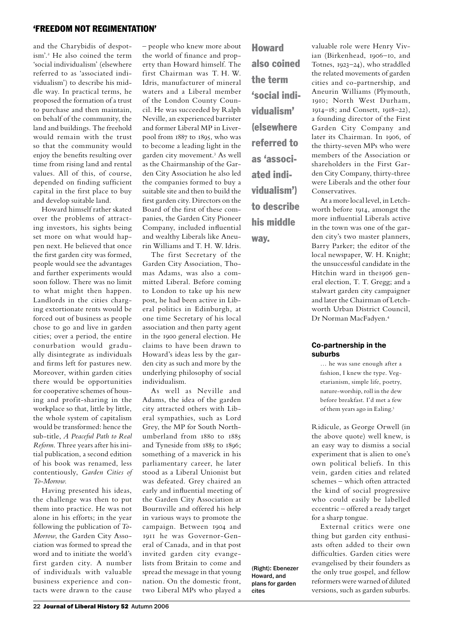and the Charybidis of despotism'.<sup>2</sup> He also coined the term 'social individualism' (elsewhere referred to as 'associated individualism') to describe his middle way. In practical terms, he proposed the formation of a trust to purchase and then maintain, on behalf of the community, the land and buildings. The freehold would remain with the trust so that the community would enjoy the benefits resulting over time from rising land and rental values. All of this, of course, depended on finding sufficient capital in the first place to buy and develop suitable land.

Howard himself rather skated over the problems of attracting investors, his sights being set more on what would happen next. He believed that once the first garden city was formed, people would see the advantages and further experiments would soon follow. There was no limit to what might then happen. Landlords in the cities charging extortionate rents would be forced out of business as people chose to go and live in garden cities; over a period, the entire conurbation would gradually disintegrate as individuals and firms left for pastures new. Moreover, within garden cities there would be opportunities for cooperative schemes of housing and profit-sharing in the workplace so that, little by little, the whole system of capitalism would be transformed: hence the sub-title, *A Peaceful Path to Real Reform*. Three years after his initial publication, a second edition of his book was renamed, less contentiously, *Garden Cities of To-Morrow*.

Having presented his ideas, the challenge was then to put them into practice. He was not alone in his efforts; in the year following the publication of *To-Morrow*, the Garden City Association was formed to spread the word and to initiate the world's first garden city. A number of individuals with valuable business experience and contacts were drawn to the cause

– people who knew more about the world of finance and property than Howard himself. The first Chairman was T. H. W. Idris, manufacturer of mineral waters and a Liberal member of the London County Council. He was succeeded by Ralph Neville, an experienced barrister and former Liberal MP in Liverpool from 1887 to 1895, who was to become a leading light in the garden city movement.<sup>3</sup> As well as the Chairmanship of the Garden City Association he also led the companies formed to buy a suitable site and then to build the first garden city. Directors on the Board of the first of these companies, the Garden City Pioneer Company, included influential and wealthy Liberals like Aneurin Williams and T. H. W. Idris.

The first Secretary of the Garden City Association, Thomas Adams, was also a committed Liberal. Before coming to London to take up his new post, he had been active in Liberal politics in Edinburgh, at one time Secretary of his local association and then party agent in the 1900 general election. He claims to have been drawn to Howard's ideas less by the garden city as such and more by the underlying philosophy of social individualism.

As well as Neville and Adams, the idea of the garden city attracted others with Liberal sympathies, such as Lord Grey, the MP for South Northumberland from 1880 to 1885 and Tyneside from 1885 to 1896; something of a maverick in his parliamentary career, he later stood as a Liberal Unionist but was defeated. Grey chaired an early and influential meeting of the Garden City Association at Bournville and offered his help in various ways to promote the campaign. Between 1904 and 1911 he was Governor-General of Canada, and in that post invited garden city evangelists from Britain to come and spread the message in that young nation. On the domestic front, two Liberal MPs who played a

Howard also coined the term 'social individualism' (elsewhere referred to as 'associated individualism') to describe his middle way.

(Right): Ebenezer Howard, and plans for garden

cites

valuable role were Henry Vivian (Birkenhead, 1906–10, and Totnes, 1923–24), who straddled the related movements of garden cities and co-partnership, and Aneurin Williams (Plymouth, 1910; North West Durham, 1914–18; and Consett, 1918–22), a founding director of the First Garden City Company and later its Chairman. In 1906, of the thirty-seven MPs who were members of the Association or shareholders in the First Garden City Company, thirty-three were Liberals and the other four Conservatives.

At a more local level, in Letchworth before 1914, amongst the more influential Liberals active in the town was one of the garden city's two master planners, Barry Parker; the editor of the local newspaper, W. H. Knight; the unsuccessful candidate in the Hitchin ward in the1906 general election, T. T. Gregg; and a stalwart garden city campaigner and later the Chairman of Letchworth Urban District Council, Dr Norman MacFadyen.<sup>4</sup>

#### Co-partnership in the suburbs

… he was sane enough after a fashion, I knew the type. Vegetarianism, simple life, poetry, nature-worship, roll in the dew before breakfast. I'd met a few of them years ago in Ealing.<sup>5</sup>

Ridicule, as George Orwell (in the above quote) well knew, is an easy way to dismiss a social experiment that is alien to one's own political beliefs. In this vein, garden cities and related schemes – which often attracted the kind of social progressive who could easily be labelled eccentric – offered a ready target for a sharp tongue.

External critics were one thing but garden city enthusiasts often added to their own difficulties. Garden cities were evangelised by their founders as the only true gospel, and fellow reformers were warned of diluted versions, such as garden suburbs.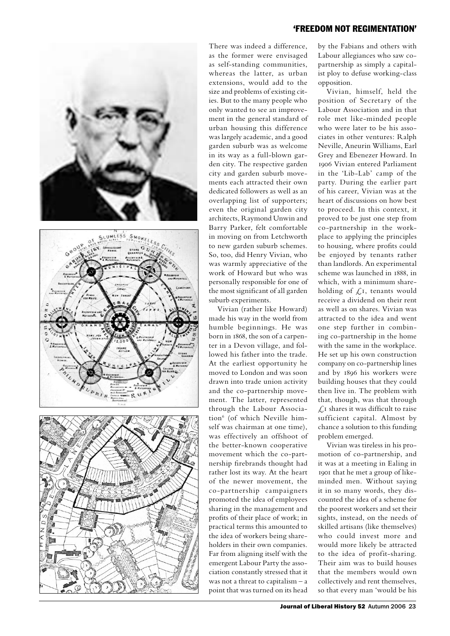





There was indeed a difference, as the former were envisaged as self-standing communities, whereas the latter, as urban extensions, would add to the size and problems of existing cities. But to the many people who only wanted to see an improvement in the general standard of urban housing this difference was largely academic, and a good garden suburb was as welcome in its way as a full-blown garden city. The respective garden city and garden suburb movements each attracted their own dedicated followers as well as an overlapping list of supporters; even the original garden city architects, Raymond Unwin and Barry Parker, felt comfortable in moving on from Letchworth to new garden suburb schemes. So, too, did Henry Vivian, who was warmly appreciative of the work of Howard but who was personally responsible for one of the most significant of all garden suburb experiments.

Vivian (rather like Howard) made his way in the world from humble beginnings. He was born in 1868, the son of a carpenter in a Devon village, and followed his father into the trade. At the earliest opportunity he moved to London and was soon drawn into trade union activity and the co-partnership movement. The latter, represented through the Labour Association<sup>6</sup> (of which Neville himself was chairman at one time), was effectively an offshoot of the better-known cooperative movement which the co-partnership firebrands thought had rather lost its way. At the heart of the newer movement, the co-partnership campaigners promoted the idea of employees sharing in the management and profits of their place of work; in practical terms this amounted to the idea of workers being shareholders in their own companies. Far from aligning itself with the emergent Labour Party the association constantly stressed that it was not a threat to capitalism – a point that was turned on its head

#### 'freedom not regimentation'

by the Fabians and others with Labour allegiances who saw copartnership as simply a capitalist ploy to defuse working-class opposition.

Vivian, himself, held the position of Secretary of the Labour Association and in that role met like-minded people who were later to be his associates in other ventures: Ralph Neville, Aneurin Williams, Earl Grey and Ebenezer Howard. In 1906 Vivian entered Parliament in the 'Lib-Lab' camp of the party. During the earlier part of his career, Vivian was at the heart of discussions on how best to proceed. In this context, it proved to be just one step from co-partnership in the workplace to applying the principles to housing, where profits could be enjoyed by tenants rather than landlords. An experimental scheme was launched in 1888, in which, with a minimum shareholding of  $\mathcal{L}$ 1, tenants would receive a dividend on their rent as well as on shares. Vivian was attracted to the idea and went one step further in combining co-partnership in the home with the same in the workplace. He set up his own construction company on co-partnership lines and by 1896 his workers were building houses that they could then live in. The problem with that, though, was that through  $\sqrt{\frac{1}{1}}$  shares it was difficult to raise sufficient capital. Almost by chance a solution to this funding problem emerged.

Vivian was tireless in his promotion of co-partnership, and it was at a meeting in Ealing in 1901 that he met a group of likeminded men. Without saying it in so many words, they discounted the idea of a scheme for the poorest workers and set their sights, instead, on the needs of skilled artisans (like themselves) who could invest more and would more likely be attracted to the idea of profit-sharing. Their aim was to build houses that the members would own collectively and rent themselves, so that every man 'would be his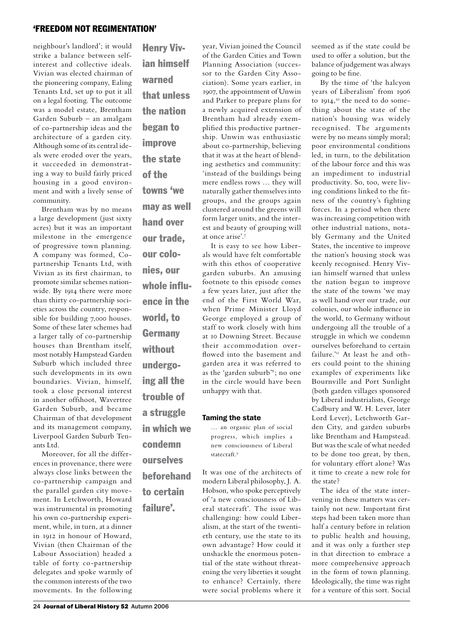neighbour's landlord'; it would strike a balance between selfinterest and collective ideals. Vivian was elected chairman of the pioneering company, Ealing Tenants Ltd, set up to put it all on a legal footing. The outcome was a model estate, Brentham Garden Suburb – an amalgam of co-partnership ideas and the architecture of a garden city. Although some of its central ideals were eroded over the years, it succeeded in demonstrating a way to build fairly priced housing in a good environment and with a lively sense of community.

Brentham was by no means a large development (just sixty acres) but it was an important milestone in the emergence of progressive town planning. A company was formed, Copartnership Tenants Ltd, with Vivian as its first chairman, to promote similar schemes nationwide. By 1914 there were more than thirty co-partnership societies across the country, responsible for building 7,000 houses. Some of these later schemes had a larger tally of co-partnership houses than Brentham itself, most notably Hampstead Garden Suburb which included three such developments in its own boundaries. Vivian, himself, took a close personal interest in another offshoot, Wavertree Garden Suburb, and became Chairman of that development and its management company, Liverpool Garden Suburb Tenants Ltd.

Moreover, for all the differences in provenance, there were always close links between the co-partnership campaign and the parallel garden city movement. In Letchworth, Howard was instrumental in promoting his own co-partnership experiment, while, in turn, at a dinner in 1912 in honour of Howard, Vivian (then Chairman of the Labour Association) headed a table of forty co-partnership delegates and spoke warmly of the common interests of the two movements. In the following

Henry Vivian himself warned that unless the nation began to improve the state of the towns 'we may as well hand over our trade, our colonies, our whole influence in the world, to **Germany** without undergoing all the trouble of a struggle in which we condemn ourselves beforehand

to certain

failure'.

year, Vivian joined the Council of the Garden Cities and Town Planning Association (successor to the Garden City Association). Some years earlier, in 1907, the appointment of Unwin and Parker to prepare plans for a newly acquired extension of Brentham had already exemplified this productive partnership. Unwin was enthusiastic about co-partnership, believing that it was at the heart of blending aesthetics and community: 'instead of the buildings being mere endless rows … they will naturally gather themselves into groups, and the groups again clustered around the greens will form larger units, and the interest and beauty of grouping will at once arise'.<sup>7</sup> It is easy to see how Liber-

als would have felt comfortable with this ethos of cooperative garden suburbs. An amusing footnote to this episode comes a few years later, just after the end of the First World War, when Prime Minister Lloyd George employed a group of staff to work closely with him at 10 Downing Street. Because their accommodation overflowed into the basement and garden area it was referred to as the 'garden suburb'8; no one in the circle would have been unhappy with that.

#### Taming the state

… an organic plan of social progress, which implies a new consciousness of Liberal statecraft.<sup>9</sup>

It was one of the architects of modern Liberal philosophy, J. A. Hobson, who spoke perceptively of 'a new consciousness of Liberal statecraft'. The issue was challenging: how could Liberalism, at the start of the twentieth century, use the state to its own advantage? How could it unshackle the enormous potential of the state without threatening the very liberties it sought to enhance? Certainly, there were social problems where it

seemed as if the state could be used to offer a solution, but the balance of judgement was always going to be fine.

By the time of 'the halcyon years of Liberalism' from 1906 to 1914, 10 the need to do something about the state of the nation's housing was widely recognised. The arguments were by no means simply moral; poor environmental conditions led, in turn, to the debilitation of the labour force and this was an impediment to industrial productivity. So, too, were living conditions linked to the fitness of the country's fighting forces. In a period when there was increasing competition with other industrial nations, notably Germany and the United States, the incentive to improve the nation's housing stock was keenly recognised. Henry Vivian himself warned that unless the nation began to improve the state of the towns 'we may as well hand over our trade, our colonies, our whole influence in the world, to Germany without undergoing all the trouble of a struggle in which we condemn ourselves beforehand to certain failure.<sup>'11</sup> At least he and others could point to the shining examples of experiments like Bournville and Port Sunlight (both garden villages sponsored by Liberal industrialists, George Cadbury and W. H. Lever, later Lord Lever), Letchworth Garden City, and garden suburbs like Brentham and Hampstead. But was the scale of what needed to be done too great, by then, for voluntary effort alone? Was it time to create a new role for the state?

The idea of the state intervening in these matters was certainly not new. Important first steps had been taken more than half a century before in relation to public health and housing, and it was only a further step in that direction to embrace a more comprehensive approach in the form of town planning. Ideologically, the time was right for a venture of this sort. Social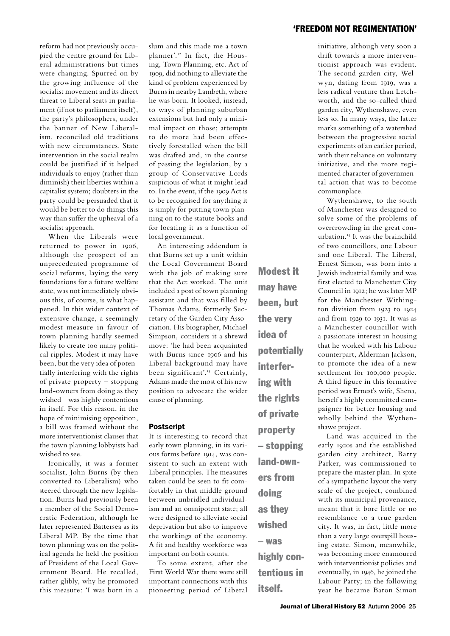reform had not previously occupied the centre ground for Liberal administrations but times were changing. Spurred on by the growing influence of the socialist movement and its direct threat to Liberal seats in parliament (if not to parliament itself), the party's philosophers, under the banner of New Liberalism, reconciled old traditions with new circumstances. State intervention in the social realm could be justified if it helped individuals to enjoy (rather than diminish) their liberties within a capitalist system; doubters in the party could be persuaded that it would be better to do things this way than suffer the upheaval of a socialist approach.

When the Liberals were returned to power in 1906, although the prospect of an unprecedented programme of social reforms, laying the very foundations for a future welfare state, was not immediately obvious this, of course, is what happened. In this wider context of extensive change, a seemingly modest measure in favour of town planning hardly seemed likely to create too many political ripples. Modest it may have been, but the very idea of potentially interfering with the rights of private property – stopping land-owners from doing as they wished – was highly contentious in itself. For this reason, in the hope of minimising opposition, a bill was framed without the more interventionist clauses that the town planning lobbyists had wished to see.

Ironically, it was a former socialist, John Burns (by then converted to Liberalism) who steered through the new legislation. Burns had previously been a member of the Social Democratic Federation, although he later represented Battersea as its Liberal MP. By the time that town planning was on the political agenda he held the position of President of the Local Government Board. He recalled, rather glibly, why he promoted this measure: 'I was born in a

slum and this made me a town planner'.12 In fact, the Housing, Town Planning, etc. Act of 1909, did nothing to alleviate the kind of problem experienced by Burns in nearby Lambeth, where he was born. It looked, instead, to ways of planning suburban extensions but had only a minimal impact on those; attempts to do more had been effectively forestalled when the bill was drafted and, in the course of passing the legislation, by a group of Conservative Lords suspicious of what it might lead to. In the event, if the 1909 Act is to be recognised for anything it is simply for putting town planning on to the statute books and for locating it as a function of local government.

An interesting addendum is that Burns set up a unit within the Local Government Board with the job of making sure that the Act worked. The unit included a post of town planning assistant and that was filled by Thomas Adams, formerly Secretary of the Garden City Association. His biographer, Michael Simpson, considers it a shrewd move: 'he had been acquainted with Burns since 1906 and his Liberal background may have been significant'.<sup>13</sup> Certainly, Adams made the most of his new position to advocate the wider cause of planning.

#### **Postscript**

It is interesting to record that early town planning, in its various forms before 1914, was consistent to such an extent with Liberal principles. The measures taken could be seen to fit comfortably in that middle ground between unbridled individualism and an omnipotent state; all were designed to alleviate social deprivation but also to improve the workings of the economy. A fit and healthy workforce was important on both counts.

To some extent, after the First World War there were still important connections with this pioneering period of Liberal may have been, but the very idea of potentially interfering with the rights of private property – stopping land-owners from doing as they wished – was highly contentious in itself.

Modest it

initiative, although very soon a drift towards a more interventionist approach was evident. The second garden city, Welwyn, dating from 1919, was a less radical venture than Letchworth, and the so-called third garden city, Wythenshawe, even less so. In many ways, the latter marks something of a watershed between the progressive social experiments of an earlier period, with their reliance on voluntary initiative, and the more regimented character of governmental action that was to become commonplace.

Wythenshawe, to the south of Manchester was designed to solve some of the problems of overcrowding in the great conurbation.14 It was the brainchild of two councillors, one Labour and one Liberal. The Liberal, Ernest Simon, was born into a Jewish industrial family and was first elected to Manchester City Council in 1912; he was later MP for the Manchester Withington division from 1923 to 1924 and from 1929 to 1931. It was as a Manchester councillor with a passionate interest in housing that he worked with his Labour counterpart, Alderman Jackson, to promote the idea of a new settlement for 100,000 people. A third figure in this formative period was Ernest's wife, Shena, herself a highly committed campaigner for better housing and wholly behind the Wythenshawe project.

Land was acquired in the early 1920s and the established garden city architect, Barry Parker, was commissioned to prepare the master plan. In spite of a sympathetic layout the very scale of the project, combined with its municipal provenance, meant that it bore little or no resemblance to a true garden city. It was, in fact, little more than a very large overspill housing estate. Simon, meanwhile, was becoming more enamoured with interventionist policies and eventually, in 1946, he joined the Labour Party; in the following year he became Baron Simon